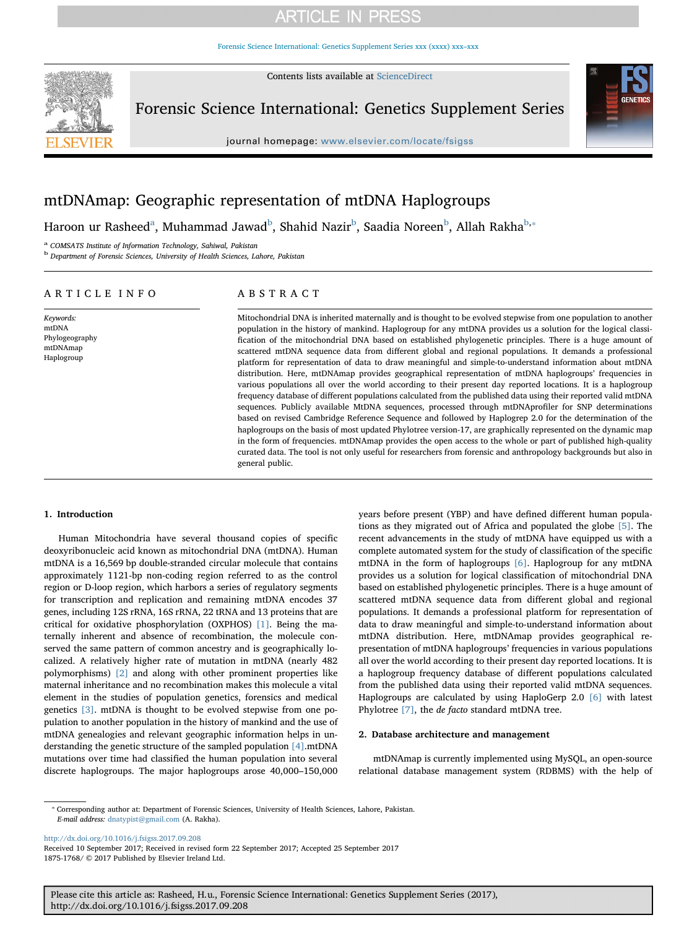# **ARTICLE IN PRESS**

[Forensic Science International: Genetics Supplement Series xxx \(xxxx\) xxx–xxx](http://dx.doi.org/10.1016/j.fsigss.2017.09.208)

Contents lists available at [ScienceDirect](http://www.sciencedirect.com/science/journal/18751768)



Forensic Science International: Genetics Supplement Series



journal homepage: [www.elsevier.com/locate/fsigss](https://www.elsevier.com/locate/fsigss)

# mtDNAmap: Geographic representation of mtDNA Haplogroups

H[a](#page-0-0)roon ur Rasheed $^{\rm a}$ , Muhammad Jawad $^{\rm b}$  $^{\rm b}$  $^{\rm b}$ , Shahid Nazir $^{\rm b}$ , Saadia Noreen $^{\rm b}$ , Allah Rakha $^{\rm b, *}$ 

<span id="page-0-0"></span><sup>a</sup> COMSATS Institute of Information Technology, Sahiwal, Pakistan

<span id="page-0-1"></span><sup>b</sup> Department of Forensic Sciences, University of Health Sciences, Lahore, Pakistan

## ARTICLE INFO

Keywords: mtDNA Phylogeography mtDNAmap Haplogroup

# ABSTRACT

Mitochondrial DNA is inherited maternally and is thought to be evolved stepwise from one population to another population in the history of mankind. Haplogroup for any mtDNA provides us a solution for the logical classification of the mitochondrial DNA based on established phylogenetic principles. There is a huge amount of scattered mtDNA sequence data from different global and regional populations. It demands a professional platform for representation of data to draw meaningful and simple-to-understand information about mtDNA distribution. Here, mtDNAmap provides geographical representation of mtDNA haplogroups' frequencies in various populations all over the world according to their present day reported locations. It is a haplogroup frequency database of different populations calculated from the published data using their reported valid mtDNA sequences. Publicly available MtDNA sequences, processed through mtDNAprofiler for SNP determinations based on revised Cambridge Reference Sequence and followed by Haplogrep 2.0 for the determination of the haplogroups on the basis of most updated Phylotree version-17, are graphically represented on the dynamic map in the form of frequencies. mtDNAmap provides the open access to the whole or part of published high-quality curated data. The tool is not only useful for researchers from forensic and anthropology backgrounds but also in general public.

#### 1. Introduction

Human Mitochondria have several thousand copies of specific deoxyribonucleic acid known as mitochondrial DNA (mtDNA). Human mtDNA is a 16,569 bp double-stranded circular molecule that contains approximately 1121-bp non-coding region referred to as the control region or D-loop region, which harbors a series of regulatory segments for transcription and replication and remaining mtDNA encodes 37 genes, including 12S rRNA, 16S rRNA, 22 tRNA and 13 proteins that are critical for oxidative phosphorylation (OXPHOS) [\[1\]](#page-1-0). Being the maternally inherent and absence of recombination, the molecule conserved the same pattern of common ancestry and is geographically localized. A relatively higher rate of mutation in mtDNA (nearly 482 polymorphisms) [\[2\]](#page-1-1) and along with other prominent properties like maternal inheritance and no recombination makes this molecule a vital element in the studies of population genetics, forensics and medical genetics [\[3\].](#page-1-2) mtDNA is thought to be evolved stepwise from one population to another population in the history of mankind and the use of mtDNA genealogies and relevant geographic information helps in understanding the genetic structure of the sampled population [\[4\]](#page-1-3).mtDNA mutations over time had classified the human population into several discrete haplogroups. The major haplogroups arose 40,000–150,000 years before present (YBP) and have defined different human populations as they migrated out of Africa and populated the globe [\[5\]](#page-1-4). The recent advancements in the study of mtDNA have equipped us with a complete automated system for the study of classification of the specific mtDNA in the form of haplogroups [\[6\].](#page-1-5) Haplogroup for any mtDNA provides us a solution for logical classification of mitochondrial DNA based on established phylogenetic principles. There is a huge amount of scattered mtDNA sequence data from different global and regional populations. It demands a professional platform for representation of data to draw meaningful and simple-to-understand information about mtDNA distribution. Here, mtDNAmap provides geographical representation of mtDNA haplogroups' frequencies in various populations all over the world according to their present day reported locations. It is a haplogroup frequency database of different populations calculated from the published data using their reported valid mtDNA sequences. Haplogroups are calculated by using HaploGerp 2.0 [\[6\]](#page-1-5) with latest Phylotree [\[7\]](#page-1-6), the *de facto* standard mtDNA tree.

## 2. Database architecture and management

mtDNAmap is currently implemented using MySQL, an open-source relational database management system (RDBMS) with the help of

<http://dx.doi.org/10.1016/j.fsigss.2017.09.208>

Received 10 September 2017; Received in revised form 22 September 2017; Accepted 25 September 2017 1875-1768/ © 2017 Published by Elsevier Ireland Ltd.

Please cite this article as: Rasheed, H.u., Forensic Science International: Genetics Supplement Series (2017), http://dx.doi.org/10.1016/j.fsigss.2017.09.208

<span id="page-0-2"></span><sup>⁎</sup> Corresponding author at: Department of Forensic Sciences, University of Health Sciences, Lahore, Pakistan. E-mail address: [dnatypist@gmail.com](mailto:dnatypist@gmail.com) (A. Rakha).